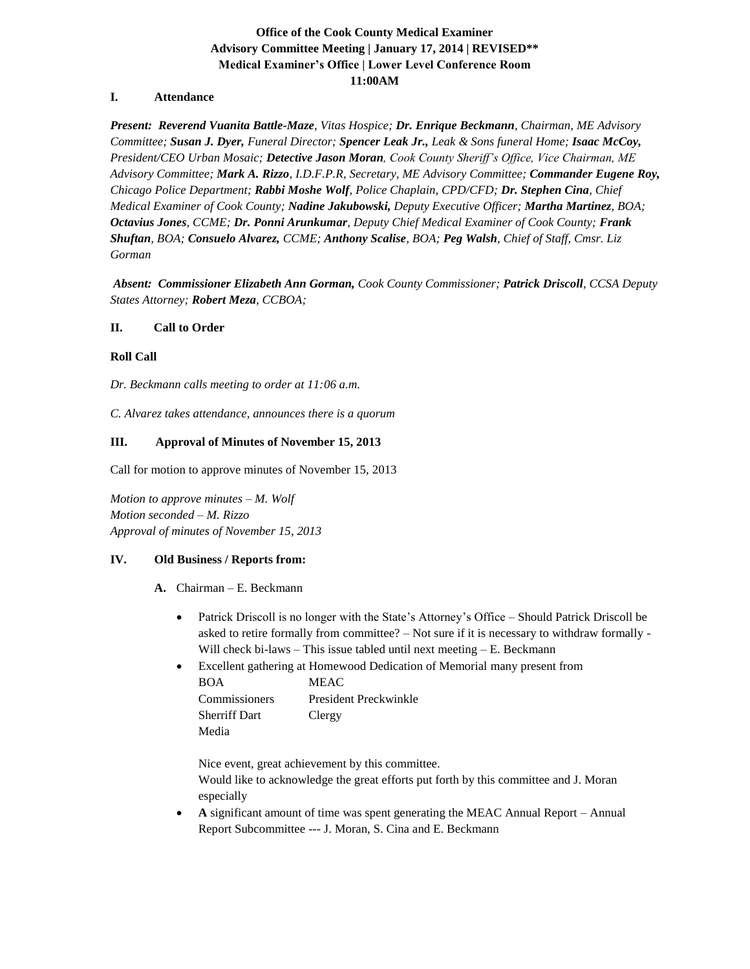# **Office of the Cook County Medical Examiner Advisory Committee Meeting | January 17, 2014 | REVISED\*\* Medical Examiner's Office | Lower Level Conference Room 11:00AM**

### **I. Attendance**

*Present: Reverend Vuanita Battle-Maze, Vitas Hospice; Dr. Enrique Beckmann, Chairman, ME Advisory Committee; Susan J. Dyer, Funeral Director; Spencer Leak Jr., Leak & Sons funeral Home; Isaac McCoy, President/CEO Urban Mosaic; Detective Jason Moran, Cook County Sheriff's Office, Vice Chairman, ME Advisory Committee; Mark A. Rizzo, I.D.F.P.R, Secretary, ME Advisory Committee; Commander Eugene Roy, Chicago Police Department; Rabbi Moshe Wolf, Police Chaplain, CPD/CFD; Dr. Stephen Cina, Chief Medical Examiner of Cook County; Nadine Jakubowski, Deputy Executive Officer; Martha Martinez, BOA; Octavius Jones, CCME; Dr. Ponni Arunkumar, Deputy Chief Medical Examiner of Cook County; Frank Shuftan, BOA; Consuelo Alvarez, CCME; Anthony Scalise, BOA; Peg Walsh, Chief of Staff, Cmsr. Liz Gorman*

*Absent: Commissioner Elizabeth Ann Gorman, Cook County Commissioner; Patrick Driscoll, CCSA Deputy States Attorney; Robert Meza, CCBOA;*

### **II. Call to Order**

### **Roll Call**

*Dr. Beckmann calls meeting to order at 11:06 a.m.* 

*C. Alvarez takes attendance, announces there is a quorum*

### **III. Approval of Minutes of November 15, 2013**

Call for motion to approve minutes of November 15, 2013

*Motion to approve minutes – M. Wolf Motion seconded – M. Rizzo Approval of minutes of November 15, 2013*

### **IV. Old Business / Reports from:**

- **A.** Chairman E. Beckmann
	- Patrick Driscoll is no longer with the State's Attorney's Office Should Patrick Driscoll be asked to retire formally from committee? – Not sure if it is necessary to withdraw formally - Will check bi-laws – This issue tabled until next meeting – E. Beckmann
	- Excellent gathering at Homewood Dedication of Memorial many present from BOA MEAC

| Commissioners        | President Preckwinkle |
|----------------------|-----------------------|
| <b>Sherriff Dart</b> | Clergy                |
| Media                |                       |

Nice event, great achievement by this committee.

Would like to acknowledge the great efforts put forth by this committee and J. Moran especially

• **A** significant amount of time was spent generating the MEAC Annual Report – Annual Report Subcommittee --- J. Moran, S. Cina and E. Beckmann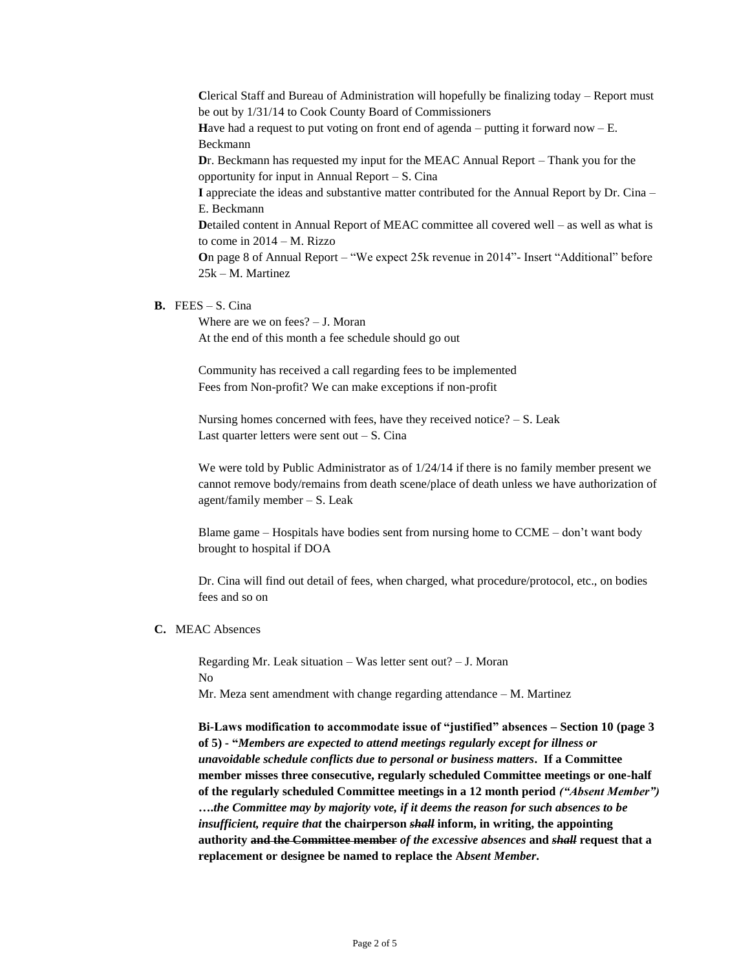**C**lerical Staff and Bureau of Administration will hopefully be finalizing today – Report must be out by 1/31/14 to Cook County Board of Commissioners **H**ave had a request to put voting on front end of agenda – putting it forward now – E. Beckmann **D**r. Beckmann has requested my input for the MEAC Annual Report – Thank you for the opportunity for input in Annual Report – S. Cina **I** appreciate the ideas and substantive matter contributed for the Annual Report by Dr. Cina – E. Beckmann **D**etailed content in Annual Report of MEAC committee all covered well – as well as what is to come in 2014 – M. Rizzo **O**n page 8 of Annual Report – "We expect 25k revenue in 2014"- Insert "Additional" before 25k – M. Martinez

## **B.** FEES – S. Cina

Where are we on fees? – J. Moran At the end of this month a fee schedule should go out

Community has received a call regarding fees to be implemented Fees from Non-profit? We can make exceptions if non-profit

Nursing homes concerned with fees, have they received notice?  $- S$ . Leak Last quarter letters were sent out  $-S$ . Cina

We were told by Public Administrator as of  $1/24/14$  if there is no family member present we cannot remove body/remains from death scene/place of death unless we have authorization of agent/family member – S. Leak

Blame game – Hospitals have bodies sent from nursing home to CCME – don't want body brought to hospital if DOA

Dr. Cina will find out detail of fees, when charged, what procedure/protocol, etc., on bodies fees and so on

#### **C.** MEAC Absences

Regarding Mr. Leak situation – Was letter sent out? – J. Moran No Mr. Meza sent amendment with change regarding attendance – M. Martinez

**Bi-Laws modification to accommodate issue of "justified" absences – Section 10 (page 3 of 5) - "***Members are expected to attend meetings regularly except for illness or unavoidable schedule conflicts due to personal or business matters***. If a Committee member misses three consecutive, regularly scheduled Committee meetings or one-half of the regularly scheduled Committee meetings in a 12 month period** *("Absent Member")* **….***the Committee may by majority vote, if it deems the reason for such absences to be insufficient, require that* **the chairperson** *shall* **inform, in writing, the appointing authority and the Committee member** *of the excessive absences* **and** *shall* **request that a replacement or designee be named to replace the A***bsent Member***.**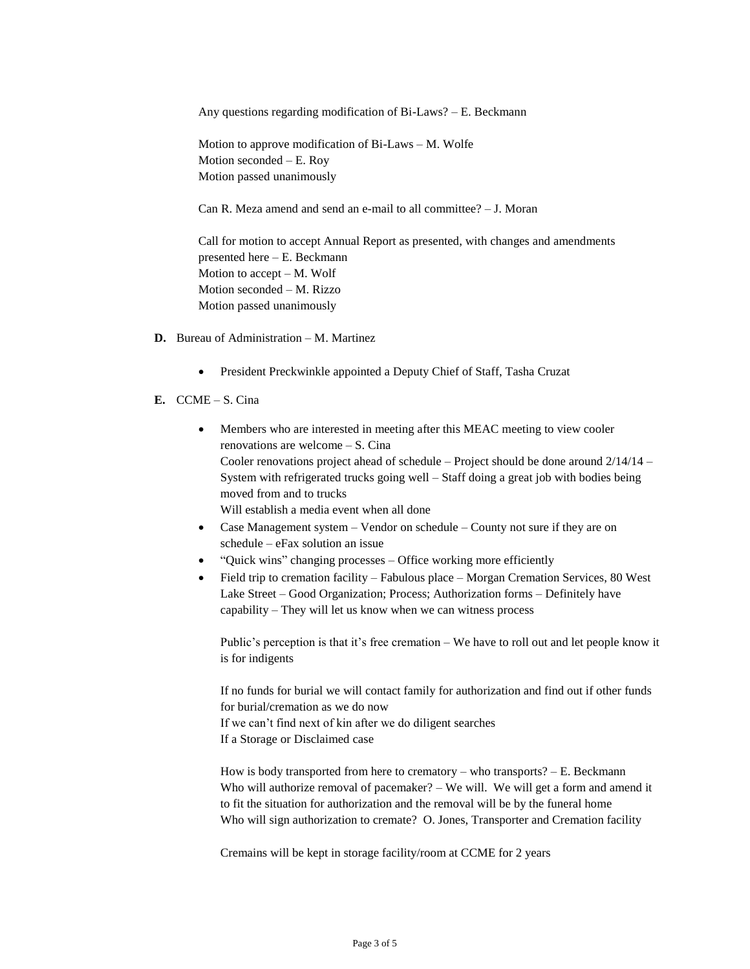Any questions regarding modification of Bi-Laws? – E. Beckmann

Motion to approve modification of Bi-Laws – M. Wolfe Motion seconded – E. Roy Motion passed unanimously

Can R. Meza amend and send an e-mail to all committee? – J. Moran

Call for motion to accept Annual Report as presented, with changes and amendments presented here – E. Beckmann Motion to accept – M. Wolf Motion seconded – M. Rizzo Motion passed unanimously

- **D.** Bureau of Administration M. Martinez
	- President Preckwinkle appointed a Deputy Chief of Staff, Tasha Cruzat
- **E.** CCME S. Cina
	- Members who are interested in meeting after this MEAC meeting to view cooler renovations are welcome – S. Cina Cooler renovations project ahead of schedule – Project should be done around  $2/14/14$  – System with refrigerated trucks going well – Staff doing a great job with bodies being moved from and to trucks Will establish a media event when all done
	- Case Management system Vendor on schedule County not sure if they are on schedule – eFax solution an issue
	- "Quick wins" changing processes Office working more efficiently
	- Field trip to cremation facility Fabulous place Morgan Cremation Services, 80 West Lake Street – Good Organization; Process; Authorization forms – Definitely have capability – They will let us know when we can witness process

Public's perception is that it's free cremation – We have to roll out and let people know it is for indigents

If no funds for burial we will contact family for authorization and find out if other funds for burial/cremation as we do now If we can't find next of kin after we do diligent searches If a Storage or Disclaimed case

How is body transported from here to crematory – who transports?  $- E$ . Beckmann Who will authorize removal of pacemaker? – We will. We will get a form and amend it to fit the situation for authorization and the removal will be by the funeral home Who will sign authorization to cremate? O. Jones, Transporter and Cremation facility

Cremains will be kept in storage facility/room at CCME for 2 years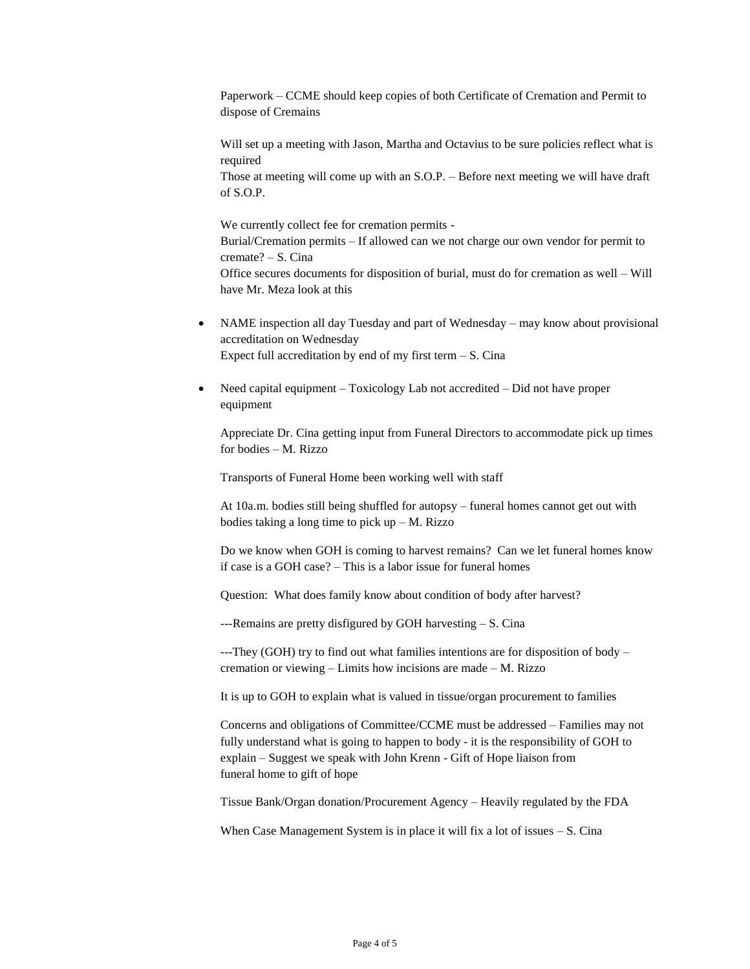Paperwork – CCME should keep copies of both Certificate of Cremation and Permit to dispose of Cremains

Will set up a meeting with Jason, Martha and Octavius to be sure policies reflect what is required

Those at meeting will come up with an S.O.P. – Before next meeting we will have draft of S.O.P.

We currently collect fee for cremation permits - Burial/Cremation permits – If allowed can we not charge our own vendor for permit to cremate? – S. Cina Office secures documents for disposition of burial, must do for cremation as well – Will have Mr. Meza look at this

- NAME inspection all day Tuesday and part of Wednesday may know about provisional accreditation on Wednesday Expect full accreditation by end of my first term  $- S$ . Cina
- Need capital equipment Toxicology Lab not accredited Did not have proper equipment

Appreciate Dr. Cina getting input from Funeral Directors to accommodate pick up times for bodies – M. Rizzo

Transports of Funeral Home been working well with staff

At 10a.m. bodies still being shuffled for autopsy – funeral homes cannot get out with bodies taking a long time to pick  $up - M$ . Rizzo

Do we know when GOH is coming to harvest remains? Can we let funeral homes know if case is a GOH case? – This is a labor issue for funeral homes

Question: What does family know about condition of body after harvest?

---Remains are pretty disfigured by GOH harvesting – S. Cina

---They (GOH) try to find out what families intentions are for disposition of body – cremation or viewing – Limits how incisions are made – M. Rizzo

It is up to GOH to explain what is valued in tissue/organ procurement to families

Concerns and obligations of Committee/CCME must be addressed – Families may not fully understand what is going to happen to body - it is the responsibility of GOH to explain – Suggest we speak with John Krenn - Gift of Hope liaison from funeral home to gift of hope

Tissue Bank/Organ donation/Procurement Agency – Heavily regulated by the FDA

When Case Management System is in place it will fix a lot of issues – S. Cina